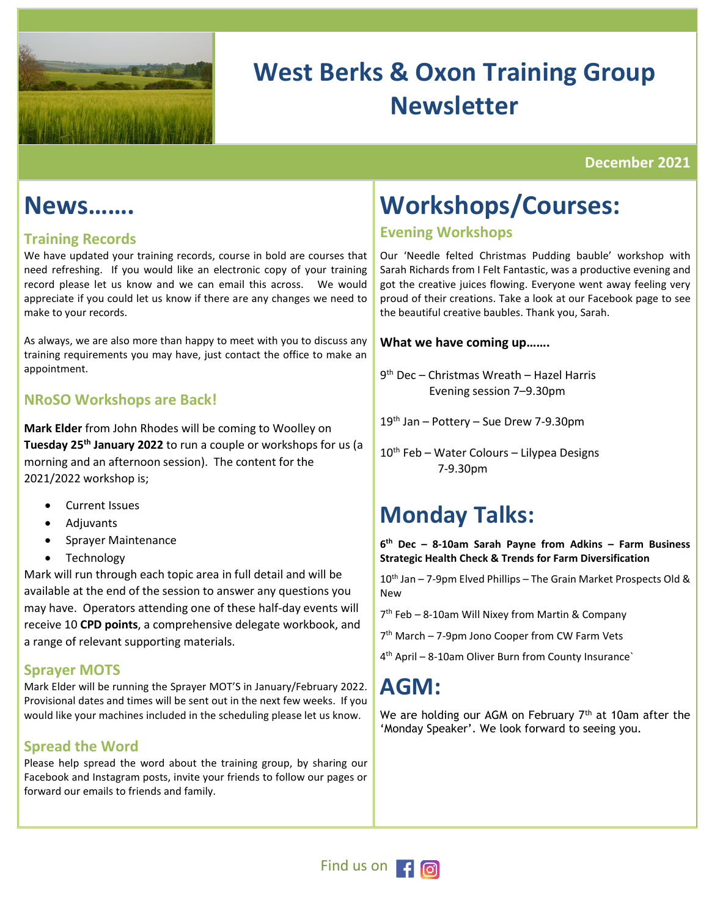

# **West Berks & Oxon Training Group Newsletter**

**December 2021**

### **News……..**

### **Training Records**

We have updated your training records, course in bold are courses that need refreshing. If you would like an electronic copy of your training record please let us know and we can email this across. We would appreciate if you could let us know if there are any changes we need to make to your records.

As always, we are also more than happy to meet with you to discuss any training requirements you may have, just contact the office to make an appointment.

### **NRoSO Workshops are Back!**

**Mark Elder** from John Rhodes will be coming to Woolley on **Tuesday 25th January 2022** to run a couple or workshops for us (a morning and an afternoon session). The content for the 2021/2022 workshop is;

- Current Issues
- Adjuvants
- Sprayer Maintenance
- Technology

Mark will run through each topic area in full detail and will be available at the end of the session to answer any questions you may have. Operators attending one of these half-day events will receive 10 **CPD points**, a comprehensive delegate workbook, and a range of relevant supporting materials.

### **Sprayer MOTS**

Mark Elder will be running the Sprayer MOT'S in January/February 2022. Provisional dates and times will be sent out in the next few weeks. If you would like your machines included in the scheduling please let us know.

### **Spread the Word**

Please help spread the word about the training group, by sharing our Facebook and Instagram posts, invite your friends to follow our pages or forward our emails to friends and family.

# **Workshops/Courses:**

### **Evening Workshops**

Our 'Needle felted Christmas Pudding bauble' workshop with Sarah Richards from I Felt Fantastic, was a productive evening and got the creative juices flowing. Everyone went away feeling very proud of their creations. Take a look at our Facebook page to see the beautiful creative baubles. Thank you, Sarah.

### **What we have coming up…….**

9 th Dec – Christmas Wreath – Hazel Harris Evening session 7–9.30pm

- 19th Jan Pottery Sue Drew 7-9.30pm
- 10<sup>th</sup> Feb Water Colours Lilypea Designs 7-9.30pm

# **Monday Talks:**

**6 th Dec – 8-10am Sarah Payne from Adkins – Farm Business Strategic Health Check & Trends for Farm Diversification**

10<sup>th</sup> Jan - 7-9pm Elved Phillips - The Grain Market Prospects Old & New

7 th Feb – 8-10am Will Nixey from Martin & Company

7 th March – 7-9pm Jono Cooper from CW Farm Vets

4 th April – 8-10am Oliver Burn from County Insurance`

# **AGM:**

We are holding our AGM on February 7<sup>th</sup> at 10am after the 'Monday Speaker'. We look forward to seeing you.